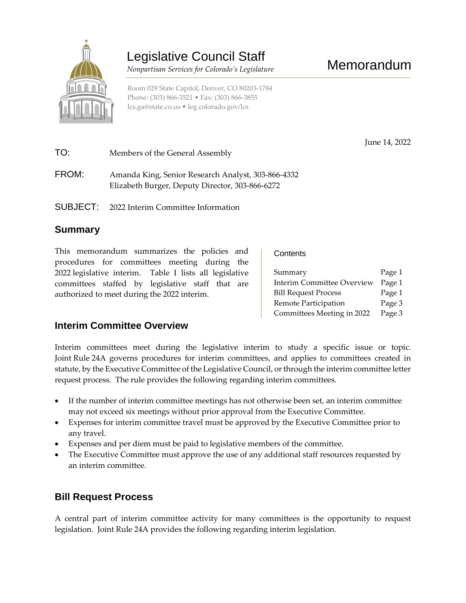

# Legislative Council Staff

 *Nonpartisan Services for Colorado's Legislature* 

June 14, 2022

Room 029 State Capitol, Denver, CO 80203-1784 Phone: (303) 866-3521 • Fax: (303) 866-3855 [lcs.ga@state.co.us](mailto:lcs.ga@state.co.us) • [leg.colorado.gov/lcs](http://leg.colorado.gov/lcs)

TO: Members of the General Assembly FROM: Amanda King, Senior Research Analyst, 303-866-4332 Elizabeth Burger, Deputy Director, 303-866-6272

SUBJECT: 2022 Interim Committee Information

# **Summary**

This memorandum summarizes the policies and procedures for committees meeting during the 2022 legislative interim. Table I lists all legislative committees staffed by legislative staff that are authorized to meet during the 2022 interim.

**Contents** 

| Summary                           | Page 1 |
|-----------------------------------|--------|
| <b>Interim Committee Overview</b> | Page 1 |
| <b>Bill Request Process</b>       | Page 1 |
| Remote Participation              | Page 3 |
| Committees Meeting in 2022        | Page 3 |

#### **Interim Committee Overview**

Interim committees meet during the legislative interim to study a specific issue or topic. Joint Rule 24A governs procedures for interim committees, and applies to committees created in statute, by the Executive Committee of the Legislative Council, or through the interim committee letter request process. The rule provides the following regarding interim committees.

- If the number of interim committee meetings has not otherwise been set, an interim committee may not exceed six meetings without prior approval from the Executive Committee.
- Expenses for interim committee travel must be approved by the Executive Committee prior to any travel.
- Expenses and per diem must be paid to legislative members of the committee.
- The Executive Committee must approve the use of any additional staff resources requested by an interim committee.

# **Bill Request Process**

A central part of interim committee activity for many committees is the opportunity to request legislation. Joint Rule 24A provides the following regarding interim legislation.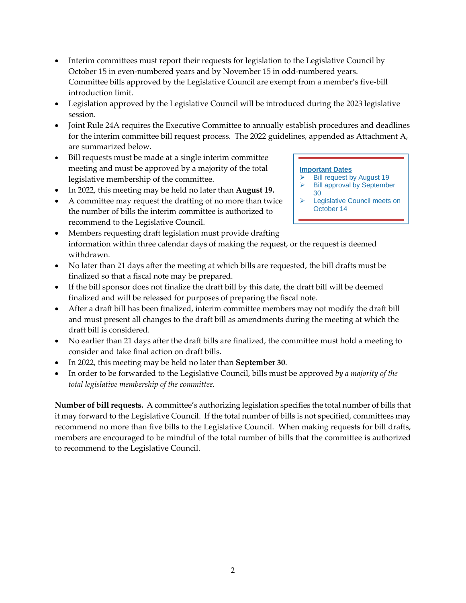- Interim committees must report their requests for legislation to the Legislative Council by October 15 in even-numbered years and by November 15 in odd-numbered years. Committee bills approved by the Legislative Council are exempt from a member's five-bill introduction limit.
- Legislation approved by the Legislative Council will be introduced during the 2023 legislative session.
- Joint Rule 24A requires the Executive Committee to annually establish procedures and deadlines for the interim committee bill request process. The 2022 guidelines, appended as Attachment A, are summarized below.
- Bill requests must be made at a single interim committee meeting and must be approved by a majority of the total legislative membership of the committee.
- In 2022, this meeting may be held no later than **August 19.**
- A committee may request the drafting of no more than twice the number of bills the interim committee is authorized to recommend to the Legislative Council.
- Members requesting draft legislation must provide drafting information within three calendar days of making the request, or the request is deemed withdrawn.
- No later than 21 days after the meeting at which bills are requested, the bill drafts must be finalized so that a fiscal note may be prepared.
- If the bill sponsor does not finalize the draft bill by this date, the draft bill will be deemed finalized and will be released for purposes of preparing the fiscal note.
- After a draft bill has been finalized, interim committee members may not modify the draft bill and must present all changes to the draft bill as amendments during the meeting at which the draft bill is considered.
- No earlier than 21 days after the draft bills are finalized, the committee must hold a meeting to consider and take final action on draft bills.
- In 2022, this meeting may be held no later than **September 30**.
- In order to be forwarded to the Legislative Council, bills must be approved *by a majority of the total legislative membership of the committee.*

**Number of bill requests***.* A committee's authorizing legislation specifies the total number of bills that it may forward to the Legislative Council. If the total number of bills is not specified, committees may recommend no more than five bills to the Legislative Council. When making requests for bill drafts, members are encouraged to be mindful of the total number of bills that the committee is authorized to recommend to the Legislative Council.

#### **Important Dates**

- $\geq$  Bill request by August 19<br> $\geq$  Bill approval by Septembe Bill approval by September
- 30 **E** Legislative Council meets on October 14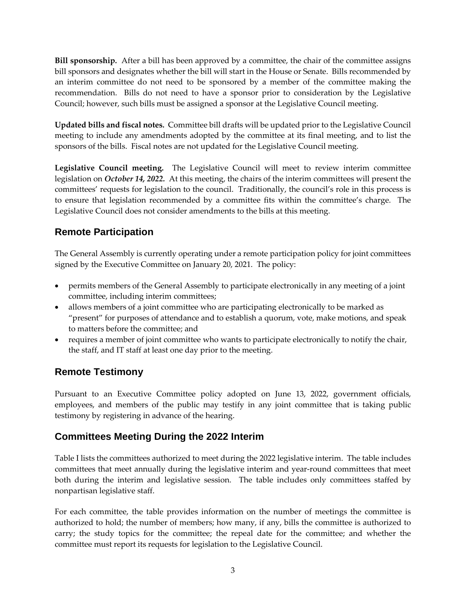**Bill sponsorship***.* After a bill has been approved by a committee, the chair of the committee assigns bill sponsors and designates whether the bill will start in the House or Senate. Bills recommended by an interim committee do not need to be sponsored by a member of the committee making the recommendation. Bills do not need to have a sponsor prior to consideration by the Legislative Council; however, such bills must be assigned a sponsor at the Legislative Council meeting.

**Updated bills and fiscal notes***.*Committee bill drafts will be updated prior to the Legislative Council meeting to include any amendments adopted by the committee at its final meeting, and to list the sponsors of the bills. Fiscal notes are not updated for the Legislative Council meeting.

**Legislative Council meeting.** The Legislative Council will meet to review interim committee legislation on *October 14, 2022.* At this meeting, the chairs of the interim committees will present the committees' requests for legislation to the council. Traditionally, the council's role in this process is to ensure that legislation recommended by a committee fits within the committee's charge. The Legislative Council does not consider amendments to the bills at this meeting.

# **Remote Participation**

The General Assembly is currently operating under a remote participation policy for joint committees signed by the Executive Committee on January 20, 2021. The policy:

- permits members of the General Assembly to participate electronically in any meeting of a joint committee, including interim committees;
- allows members of a joint committee who are participating electronically to be marked as "present" for purposes of attendance and to establish a quorum, vote, make motions, and speak to matters before the committee; and
- requires a member of joint committee who wants to participate electronically to notify the chair, the staff, and IT staff at least one day prior to the meeting.

# **Remote Testimony**

Pursuant to an Executive Committee policy adopted on June 13, 2022, government officials, employees, and members of the public may testify in any joint committee that is taking public testimony by registering in advance of the hearing.

# **Committees Meeting During the 2022 Interim**

Table I lists the committees authorized to meet during the 2022 legislative interim. The table includes committees that meet annually during the legislative interim and year-round committees that meet both during the interim and legislative session. The table includes only committees staffed by nonpartisan legislative staff.

For each committee, the table provides information on the number of meetings the committee is authorized to hold; the number of members; how many, if any, bills the committee is authorized to carry; the study topics for the committee; the repeal date for the committee; and whether the committee must report its requests for legislation to the Legislative Council.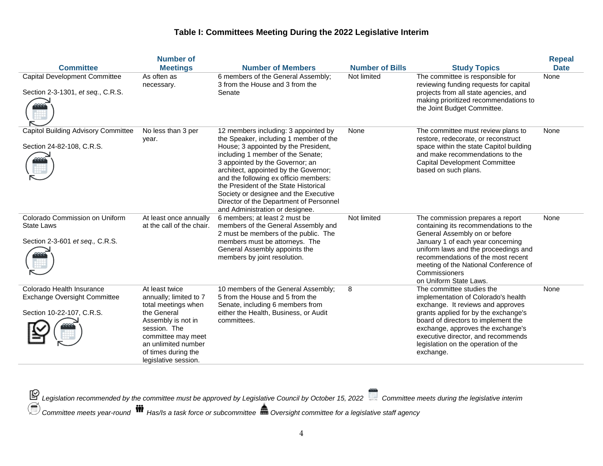| <b>Committee</b>                                                                              | <b>Number of</b><br><b>Meetings</b>                                                                                                                                                                              | <b>Number of Members</b>                                                                                                                                                                                                                                                                                                                                                                                                                         | <b>Number of Bills</b> | <b>Study Topics</b>                                                                                                                                                                                                                                                                                                 | <b>Repeal</b><br><b>Date</b> |
|-----------------------------------------------------------------------------------------------|------------------------------------------------------------------------------------------------------------------------------------------------------------------------------------------------------------------|--------------------------------------------------------------------------------------------------------------------------------------------------------------------------------------------------------------------------------------------------------------------------------------------------------------------------------------------------------------------------------------------------------------------------------------------------|------------------------|---------------------------------------------------------------------------------------------------------------------------------------------------------------------------------------------------------------------------------------------------------------------------------------------------------------------|------------------------------|
| <b>Capital Development Committee</b><br>Section 2-3-1301, et seq., C.R.S.                     | As often as<br>necessary.                                                                                                                                                                                        | 6 members of the General Assembly;<br>3 from the House and 3 from the<br>Senate                                                                                                                                                                                                                                                                                                                                                                  | Not limited            | The committee is responsible for<br>reviewing funding requests for capital<br>projects from all state agencies, and<br>making prioritized recommendations to<br>the Joint Budget Committee.                                                                                                                         | None                         |
| <b>Capitol Building Advisory Committee</b><br>Section 24-82-108, C.R.S.                       | No less than 3 per<br>year.                                                                                                                                                                                      | 12 members including: 3 appointed by<br>the Speaker, including 1 member of the<br>House; 3 appointed by the President,<br>including 1 member of the Senate;<br>3 appointed by the Governor; an<br>architect, appointed by the Governor;<br>and the following ex officio members:<br>the President of the State Historical<br>Society or designee and the Executive<br>Director of the Department of Personnel<br>and Administration or designee. | None                   | The committee must review plans to<br>restore, redecorate, or reconstruct<br>space within the state Capitol building<br>and make recommendations to the<br>Capital Development Committee<br>based on such plans.                                                                                                    | None                         |
| Colorado Commission on Uniform<br><b>State Laws</b><br>Section 2-3-601 et seq., C.R.S.        | At least once annually<br>at the call of the chair.                                                                                                                                                              | 6 members: at least 2 must be<br>members of the General Assembly and<br>2 must be members of the public. The<br>members must be attorneys. The<br>General Assembly appoints the<br>members by joint resolution.                                                                                                                                                                                                                                  | Not limited            | The commission prepares a report<br>containing its recommendations to the<br>General Assembly on or before<br>January 1 of each year concerning<br>uniform laws and the proceedings and<br>recommendations of the most recent<br>meeting of the National Conference of<br>Commissioners<br>on Uniform State Laws.   | None                         |
| Colorado Health Insurance<br><b>Exchange Oversight Committee</b><br>Section 10-22-107, C.R.S. | At least twice<br>annually; limited to 7<br>total meetings when<br>the General<br>Assembly is not in<br>session. The<br>committee may meet<br>an unlimited number<br>of times during the<br>legislative session. | 10 members of the General Assembly;<br>5 from the House and 5 from the<br>Senate, including 6 members from<br>either the Health, Business, or Audit<br>committees.                                                                                                                                                                                                                                                                               | 8                      | The committee studies the<br>implementation of Colorado's health<br>exchange. It reviews and approves<br>grants applied for by the exchange's<br>board of directors to implement the<br>exchange, approves the exchange's<br>executive director, and recommends<br>legislation on the operation of the<br>exchange. | None                         |

*Legislation recommended by the committee must be approved by Legislative Council by October 15, 2022 Committee meets during the legislative interim*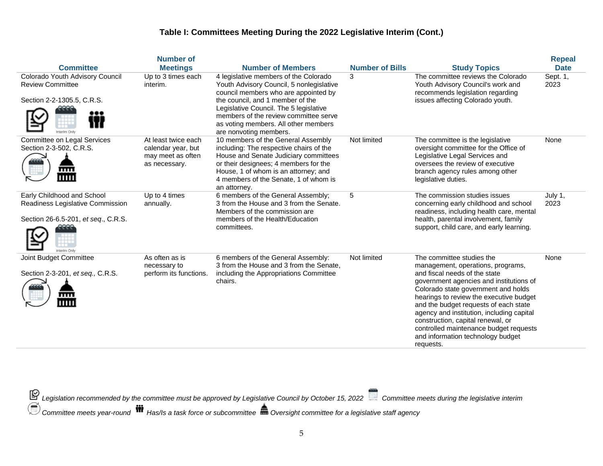|                                                                                                       | <b>Number of</b>                                                                |                                                                                                                                                                                                                                                                                                                    |                        |                                                                                                                                                                                                                                                                                                                                                                                                                                                     | <b>Repeal</b>    |
|-------------------------------------------------------------------------------------------------------|---------------------------------------------------------------------------------|--------------------------------------------------------------------------------------------------------------------------------------------------------------------------------------------------------------------------------------------------------------------------------------------------------------------|------------------------|-----------------------------------------------------------------------------------------------------------------------------------------------------------------------------------------------------------------------------------------------------------------------------------------------------------------------------------------------------------------------------------------------------------------------------------------------------|------------------|
| <b>Committee</b>                                                                                      | <b>Meetings</b>                                                                 | <b>Number of Members</b>                                                                                                                                                                                                                                                                                           | <b>Number of Bills</b> | <b>Study Topics</b>                                                                                                                                                                                                                                                                                                                                                                                                                                 | <b>Date</b>      |
| Colorado Youth Advisory Council<br><b>Review Committee</b><br>Section 2-2-1305.5, C.R.S.              | Up to 3 times each<br>interim.                                                  | 4 legislative members of the Colorado<br>Youth Advisory Council, 5 nonlegislative<br>council members who are appointed by<br>the council, and 1 member of the<br>Legislative Council. The 5 legislative<br>members of the review committee serve<br>as voting members. All other members<br>are nonvoting members. | 3                      | The committee reviews the Colorado<br>Youth Advisory Council's work and<br>recommends legislation regarding<br>issues affecting Colorado youth.                                                                                                                                                                                                                                                                                                     | Sept. 1,<br>2023 |
| Committee on Legal Services<br>Section 2-3-502, C.R.S.<br>mm<br>IIIII                                 | At least twice each<br>calendar year, but<br>may meet as often<br>as necessary. | 10 members of the General Assembly<br>including: The respective chairs of the<br>House and Senate Judiciary committees<br>or their designees; 4 members for the<br>House, 1 of whom is an attorney; and<br>4 members of the Senate, 1 of whom is<br>an attorney.                                                   | Not limited            | The committee is the legislative<br>oversight committee for the Office of<br>Legislative Legal Services and<br>oversees the review of executive<br>branch agency rules among other<br>legislative duties.                                                                                                                                                                                                                                           | None             |
| Early Childhood and School<br>Readiness Legislative Commission<br>Section 26-6.5-201, et seq., C.R.S. | Up to 4 times<br>annually.                                                      | 6 members of the General Assembly;<br>3 from the House and 3 from the Senate.<br>Members of the commission are<br>members of the Health/Education<br>committees.                                                                                                                                                   | 5                      | The commission studies issues<br>concerning early childhood and school<br>readiness, including health care, mental<br>health, parental involvement, family<br>support, child care, and early learning.                                                                                                                                                                                                                                              | July 1,<br>2023  |
| Joint Budget Committee<br>Section 2-3-201, et seq., C.R.S.<br>mm<br>Ш                                 | As often as is<br>necessary to<br>perform its functions.                        | 6 members of the General Assembly:<br>3 from the House and 3 from the Senate.<br>including the Appropriations Committee<br>chairs.                                                                                                                                                                                 | Not limited            | The committee studies the<br>management, operations, programs,<br>and fiscal needs of the state<br>government agencies and institutions of<br>Colorado state government and holds<br>hearings to review the executive budget<br>and the budget requests of each state<br>agency and institution, including capital<br>construction, capital renewal, or<br>controlled maintenance budget requests<br>and information technology budget<br>requests. | None             |

*Legislation recommended by the committee must be approved by Legislative Council by October 15, 2022 Committee meets during the legislative interim*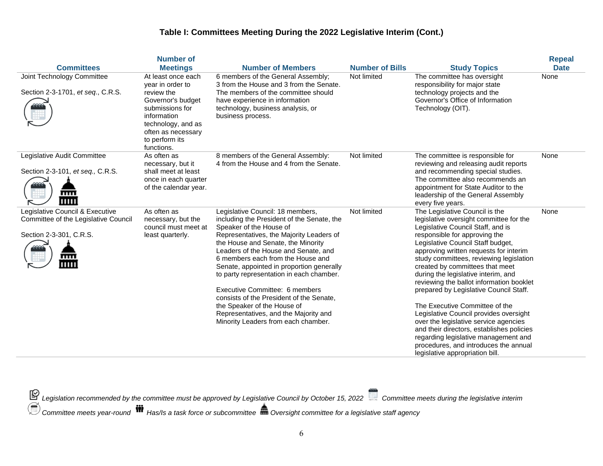|                                                                                                                   | <b>Number of</b>                                                                                                                                                                        |                                                                                                                                                                                                                                                                                                                                                                                                                                                                                                                                                                |                        |                                                                                                                                                                                                                                                                                                                                                                                                                                                                                                                                                                                                                                                                                                                                 | <b>Repeal</b> |
|-------------------------------------------------------------------------------------------------------------------|-----------------------------------------------------------------------------------------------------------------------------------------------------------------------------------------|----------------------------------------------------------------------------------------------------------------------------------------------------------------------------------------------------------------------------------------------------------------------------------------------------------------------------------------------------------------------------------------------------------------------------------------------------------------------------------------------------------------------------------------------------------------|------------------------|---------------------------------------------------------------------------------------------------------------------------------------------------------------------------------------------------------------------------------------------------------------------------------------------------------------------------------------------------------------------------------------------------------------------------------------------------------------------------------------------------------------------------------------------------------------------------------------------------------------------------------------------------------------------------------------------------------------------------------|---------------|
| <b>Committees</b>                                                                                                 | <b>Meetings</b>                                                                                                                                                                         | <b>Number of Members</b>                                                                                                                                                                                                                                                                                                                                                                                                                                                                                                                                       | <b>Number of Bills</b> | <b>Study Topics</b>                                                                                                                                                                                                                                                                                                                                                                                                                                                                                                                                                                                                                                                                                                             | <b>Date</b>   |
| Joint Technology Committee<br>Section 2-3-1701, et seq., C.R.S.                                                   | At least once each<br>vear in order to<br>review the<br>Governor's budget<br>submissions for<br>information<br>technology, and as<br>often as necessary<br>to perform its<br>functions. | 6 members of the General Assembly;<br>3 from the House and 3 from the Senate.<br>The members of the committee should<br>have experience in information<br>technology, business analysis, or<br>business process.                                                                                                                                                                                                                                                                                                                                               | Not limited            | The committee has oversight<br>responsibility for major state<br>technology projects and the<br>Governor's Office of Information<br>Technology (OIT).                                                                                                                                                                                                                                                                                                                                                                                                                                                                                                                                                                           | None          |
| Legislative Audit Committee<br>Section 2-3-101, et seq., C.R.S.<br>mm<br>ши                                       | As often as<br>necessary, but it<br>shall meet at least<br>once in each quarter<br>of the calendar year.                                                                                | 8 members of the General Assembly:<br>4 from the House and 4 from the Senate.                                                                                                                                                                                                                                                                                                                                                                                                                                                                                  | Not limited            | The committee is responsible for<br>reviewing and releasing audit reports<br>and recommending special studies.<br>The committee also recommends an<br>appointment for State Auditor to the<br>leadership of the General Assembly<br>every five years.                                                                                                                                                                                                                                                                                                                                                                                                                                                                           | None          |
| Legislative Council & Executive<br>Committee of the Legislative Council<br>Section 2-3-301, C.R.S.<br>mm<br>11111 | As often as<br>necessary, but the<br>council must meet at<br>least quarterly.                                                                                                           | Legislative Council: 18 members,<br>including the President of the Senate, the<br>Speaker of the House of<br>Representatives, the Majority Leaders of<br>the House and Senate, the Minority<br>Leaders of the House and Senate, and<br>6 members each from the House and<br>Senate, appointed in proportion generally<br>to party representation in each chamber.<br>Executive Committee: 6 members<br>consists of the President of the Senate,<br>the Speaker of the House of<br>Representatives, and the Majority and<br>Minority Leaders from each chamber. | Not limited            | The Legislative Council is the<br>legislative oversight committee for the<br>Legislative Council Staff, and is<br>responsible for approving the<br>Legislative Council Staff budget,<br>approving written requests for interim<br>study committees, reviewing legislation<br>created by committees that meet<br>during the legislative interim, and<br>reviewing the ballot information booklet<br>prepared by Legislative Council Staff.<br>The Executive Committee of the<br>Legislative Council provides oversight<br>over the legislative service agencies<br>and their directors, establishes policies<br>regarding legislative management and<br>procedures, and introduces the annual<br>legislative appropriation bill. | None          |

*Legislation recommended by the committee must be approved by Legislative Council by October 15, 2022 Committee meets during the legislative interim*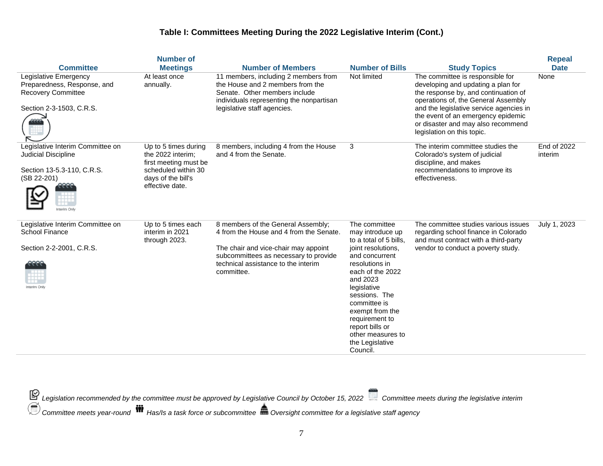|                                                                                                                     | <b>Number of</b>                                                                                                                   |                                                                                                                                                                                                                     |                                                                                                                                                                                                                                                                                                                   |                                                                                                                                                                                                                                                                                                            | <b>Repeal</b>          |
|---------------------------------------------------------------------------------------------------------------------|------------------------------------------------------------------------------------------------------------------------------------|---------------------------------------------------------------------------------------------------------------------------------------------------------------------------------------------------------------------|-------------------------------------------------------------------------------------------------------------------------------------------------------------------------------------------------------------------------------------------------------------------------------------------------------------------|------------------------------------------------------------------------------------------------------------------------------------------------------------------------------------------------------------------------------------------------------------------------------------------------------------|------------------------|
| <b>Committee</b>                                                                                                    | <b>Meetings</b>                                                                                                                    | <b>Number of Members</b>                                                                                                                                                                                            | <b>Number of Bills</b>                                                                                                                                                                                                                                                                                            | <b>Study Topics</b>                                                                                                                                                                                                                                                                                        | <b>Date</b>            |
| Legislative Emergency<br>Preparedness, Response, and<br><b>Recovery Committee</b><br>Section 2-3-1503, C.R.S.       | At least once<br>annually.                                                                                                         | 11 members, including 2 members from<br>the House and 2 members from the<br>Senate. Other members include<br>individuals representing the nonpartisan<br>legislative staff agencies.                                | Not limited                                                                                                                                                                                                                                                                                                       | The committee is responsible for<br>developing and updating a plan for<br>the response by, and continuation of<br>operations of, the General Assembly<br>and the legislative service agencies in<br>the event of an emergency epidemic<br>or disaster and may also recommend<br>legislation on this topic. | None                   |
| Legislative Interim Committee on<br>Judicial Discipline<br>Section 13-5.3-110, C.R.S.<br>(SB 22-201)<br>nterim Only | Up to 5 times during<br>the 2022 interim;<br>first meeting must be<br>scheduled within 30<br>days of the bill's<br>effective date. | 8 members, including 4 from the House<br>and 4 from the Senate.                                                                                                                                                     | 3                                                                                                                                                                                                                                                                                                                 | The interim committee studies the<br>Colorado's system of judicial<br>discipline, and makes<br>recommendations to improve its<br>effectiveness.                                                                                                                                                            | End of 2022<br>interim |
| Legislative Interim Committee on<br><b>School Finance</b><br>Section 2-2-2001, C.R.S.<br>nterim Only                | Up to 5 times each<br>interim in 2021<br>through 2023.                                                                             | 8 members of the General Assembly;<br>4 from the House and 4 from the Senate.<br>The chair and vice-chair may appoint<br>subcommittees as necessary to provide<br>technical assistance to the interim<br>committee. | The committee<br>may introduce up<br>to a total of 5 bills.<br>joint resolutions,<br>and concurrent<br>resolutions in<br>each of the 2022<br>and 2023<br>legislative<br>sessions. The<br>committee is<br>exempt from the<br>requirement to<br>report bills or<br>other measures to<br>the Legislative<br>Council. | The committee studies various issues<br>regarding school finance in Colorado<br>and must contract with a third-party<br>vendor to conduct a poverty study.                                                                                                                                                 | July 1, 2023           |

*Legislation recommended by the committee must be approved by Legislative Council by October 15, 2022 Committee meets during the legislative interim*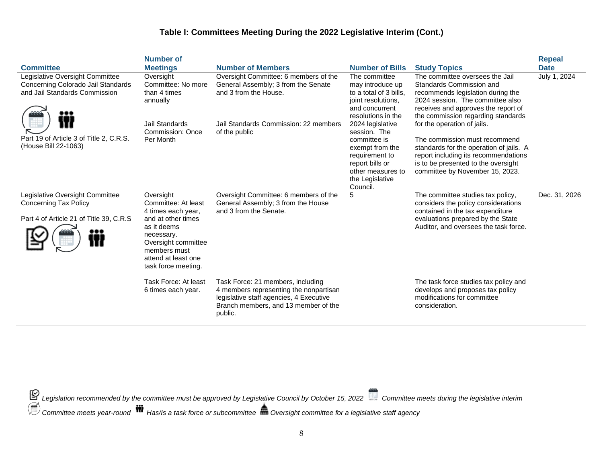| <b>Committee</b><br>Legislative Oversight Committee<br>Concerning Colorado Jail Standards<br>and Jail Standards Commission<br>Part 19 of Article 3 of Title 2, C.R.S.<br>(House Bill 22-1063) | <b>Number of</b><br><b>Meetings</b><br>Oversight<br>Committee: No more<br>than 4 times<br>annually<br><b>Jail Standards</b><br><b>Commission: Once</b><br>Per Month                                                                          | <b>Number of Members</b><br>Oversight Committee: 6 members of the<br>General Assembly; 3 from the Senate<br>and 3 from the House.<br>Jail Standards Commission: 22 members<br>of the public                                                                                        | <b>Number of Bills</b><br>The committee<br>may introduce up<br>to a total of 3 bills,<br>joint resolutions.<br>and concurrent<br>resolutions in the<br>2024 legislative<br>session. The<br>committee is<br>exempt from the<br>requirement to<br>report bills or<br>other measures to<br>the Legislative | <b>Study Topics</b><br>The committee oversees the Jail<br>Standards Commission and<br>recommends legislation during the<br>2024 session. The committee also<br>receives and approves the report of<br>the commission regarding standards<br>for the operation of jails.<br>The commission must recommend<br>standards for the operation of jails. A<br>report including its recommendations<br>is to be presented to the oversight<br>committee by November 15, 2023. | <b>Repeal</b><br><b>Date</b><br>July 1, 2024 |
|-----------------------------------------------------------------------------------------------------------------------------------------------------------------------------------------------|----------------------------------------------------------------------------------------------------------------------------------------------------------------------------------------------------------------------------------------------|------------------------------------------------------------------------------------------------------------------------------------------------------------------------------------------------------------------------------------------------------------------------------------|---------------------------------------------------------------------------------------------------------------------------------------------------------------------------------------------------------------------------------------------------------------------------------------------------------|-----------------------------------------------------------------------------------------------------------------------------------------------------------------------------------------------------------------------------------------------------------------------------------------------------------------------------------------------------------------------------------------------------------------------------------------------------------------------|----------------------------------------------|
| Legislative Oversight Committee<br><b>Concerning Tax Policy</b><br>Part 4 of Article 21 of Title 39, C.R.S                                                                                    | Oversight<br>Committee: At least<br>4 times each year,<br>and at other times<br>as it deems<br>necessary.<br>Oversight committee<br>members must<br>attend at least one<br>task force meeting.<br>Task Force: At least<br>6 times each year. | Oversight Committee: 6 members of the<br>General Assembly; 3 from the House<br>and 3 from the Senate.<br>Task Force: 21 members, including<br>4 members representing the nonpartisan<br>legislative staff agencies, 4 Executive<br>Branch members, and 13 member of the<br>public. | Council.<br>5                                                                                                                                                                                                                                                                                           | The committee studies tax policy,<br>considers the policy considerations<br>contained in the tax expenditure<br>evaluations prepared by the State<br>Auditor, and oversees the task force.<br>The task force studies tax policy and<br>develops and proposes tax policy<br>modifications for committee<br>consideration.                                                                                                                                              | Dec. 31, 2026                                |

*Legislation recommended by the committee must be approved by Legislative Council by October 15, 2022 Committee meets during the legislative interim*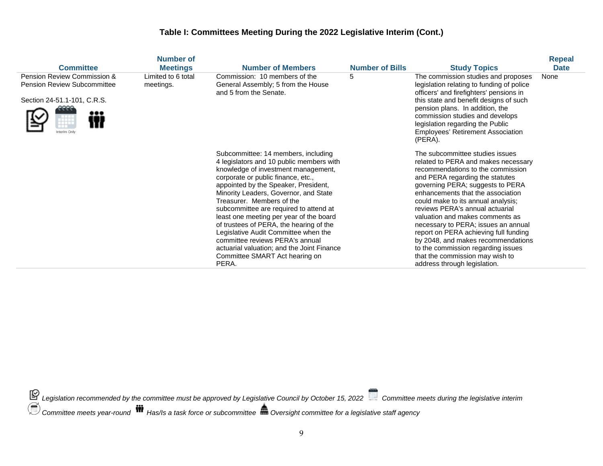|                                                                                                                  | <b>Number of</b>                |                                                                                                                                                                                                                                                                                                                                                                                                                                                                                                                                                                                |                        |                                                                                                                                                                                                                                                                                                                                                                                                                                                                                                                                                                    | <b>Repeal</b> |
|------------------------------------------------------------------------------------------------------------------|---------------------------------|--------------------------------------------------------------------------------------------------------------------------------------------------------------------------------------------------------------------------------------------------------------------------------------------------------------------------------------------------------------------------------------------------------------------------------------------------------------------------------------------------------------------------------------------------------------------------------|------------------------|--------------------------------------------------------------------------------------------------------------------------------------------------------------------------------------------------------------------------------------------------------------------------------------------------------------------------------------------------------------------------------------------------------------------------------------------------------------------------------------------------------------------------------------------------------------------|---------------|
| <b>Committee</b>                                                                                                 | <b>Meetings</b>                 | <b>Number of Members</b>                                                                                                                                                                                                                                                                                                                                                                                                                                                                                                                                                       | <b>Number of Bills</b> | <b>Study Topics</b>                                                                                                                                                                                                                                                                                                                                                                                                                                                                                                                                                | <b>Date</b>   |
| Pension Review Commission &<br><b>Pension Review Subcommittee</b><br>Section 24-51.1-101, C.R.S.<br>Interim Only | Limited to 6 total<br>meetings. | Commission: 10 members of the<br>General Assembly; 5 from the House<br>and 5 from the Senate.                                                                                                                                                                                                                                                                                                                                                                                                                                                                                  | 5                      | The commission studies and proposes<br>legislation relating to funding of police<br>officers' and firefighters' pensions in<br>this state and benefit designs of such<br>pension plans. In addition, the<br>commission studies and develops<br>legislation regarding the Public<br><b>Employees' Retirement Association</b><br>(PERA).                                                                                                                                                                                                                             | None          |
|                                                                                                                  |                                 | Subcommittee: 14 members, including<br>4 legislators and 10 public members with<br>knowledge of investment management,<br>corporate or public finance, etc.,<br>appointed by the Speaker, President,<br>Minority Leaders, Governor, and State<br>Treasurer. Members of the<br>subcommittee are required to attend at<br>least one meeting per year of the board<br>of trustees of PERA, the hearing of the<br>Legislative Audit Committee when the<br>committee reviews PERA's annual<br>actuarial valuation; and the Joint Finance<br>Committee SMART Act hearing on<br>PERA. |                        | The subcommittee studies issues<br>related to PERA and makes necessary<br>recommendations to the commission<br>and PERA regarding the statutes<br>governing PERA; suggests to PERA<br>enhancements that the association<br>could make to its annual analysis;<br>reviews PERA's annual actuarial<br>valuation and makes comments as<br>necessary to PERA; issues an annual<br>report on PERA achieving full funding<br>by 2048, and makes recommendations<br>to the commission regarding issues<br>that the commission may wish to<br>address through legislation. |               |

*Legislation recommended by the committee must be approved by Legislative Council by October 15, 2022 Committee meets during the legislative interim*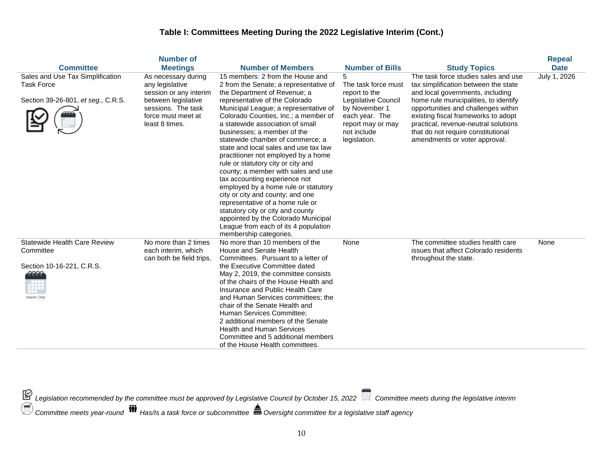|                                                                                              | Number of                                                                                                                                             |                                                                                                                                                                                                                                                                                                                                                                                                                                                                                                                                                                                                                                                                                                                                                                                                  |                                                                                                                                                         |                                                                                                                                                                                                                                                                                                                                                        | <b>Repeal</b> |
|----------------------------------------------------------------------------------------------|-------------------------------------------------------------------------------------------------------------------------------------------------------|--------------------------------------------------------------------------------------------------------------------------------------------------------------------------------------------------------------------------------------------------------------------------------------------------------------------------------------------------------------------------------------------------------------------------------------------------------------------------------------------------------------------------------------------------------------------------------------------------------------------------------------------------------------------------------------------------------------------------------------------------------------------------------------------------|---------------------------------------------------------------------------------------------------------------------------------------------------------|--------------------------------------------------------------------------------------------------------------------------------------------------------------------------------------------------------------------------------------------------------------------------------------------------------------------------------------------------------|---------------|
| <b>Committee</b>                                                                             | <b>Meetings</b>                                                                                                                                       | <b>Number of Members</b>                                                                                                                                                                                                                                                                                                                                                                                                                                                                                                                                                                                                                                                                                                                                                                         | <b>Number of Bills</b>                                                                                                                                  | <b>Study Topics</b>                                                                                                                                                                                                                                                                                                                                    | <b>Date</b>   |
| Sales and Use Tax Simplification<br><b>Task Force</b><br>Section 39-26-801, et seg., C.R.S.  | As necessary during<br>any legislative<br>session or any interim<br>between legislative<br>sessions. The task<br>force must meet at<br>least 8 times. | 15 members: 2 from the House and<br>2 from the Senate; a representative of<br>the Department of Revenue; a<br>representative of the Colorado<br>Municipal League; a representative of<br>Colorado Counties, Inc.; a member of<br>a statewide association of small<br>businesses; a member of the<br>statewide chamber of commerce; a<br>state and local sales and use tax law<br>practitioner not employed by a home<br>rule or statutory city or city and<br>county; a member with sales and use<br>tax accounting experience not<br>employed by a home rule or statutory<br>city or city and county; and one<br>representative of a home rule or<br>statutory city or city and county<br>appointed by the Colorado Municipal<br>League from each of its 4 population<br>membership categories. | 5<br>The task force must<br>report to the<br>Legislative Council<br>by November 1<br>each year. The<br>report may or may<br>not include<br>legislation. | The task force studies sales and use<br>tax simplification between the state<br>and local governments, including<br>home rule municipalities, to identify<br>opportunities and challenges within<br>existing fiscal frameworks to adopt<br>practical, revenue-neutral solutions<br>that do not require constitutional<br>amendments or voter approval. | July 1, 2026  |
| <b>Statewide Health Care Review</b><br>Committee<br>Section 10-16-221, C.R.S.<br>nterim Only | No more than 2 times<br>each interim, which<br>can both be field trips.                                                                               | No more than 10 members of the<br>House and Senate Health<br>Committees. Pursuant to a letter of<br>the Executive Committee dated<br>May 2, 2019, the committee consists<br>of the chairs of the House Health and<br>Insurance and Public Health Care<br>and Human Services committees; the<br>chair of the Senate Health and<br>Human Services Committee:<br>2 additional members of the Senate<br><b>Health and Human Services</b><br>Committee and 5 additional members<br>of the House Health committees.                                                                                                                                                                                                                                                                                    | None                                                                                                                                                    | The committee studies health care<br>issues that affect Colorado residents<br>throughout the state.                                                                                                                                                                                                                                                    | None          |

*Legislation recommended by the committee must be approved by Legislative Council by October 15, 2022 Committee meets during the legislative interim*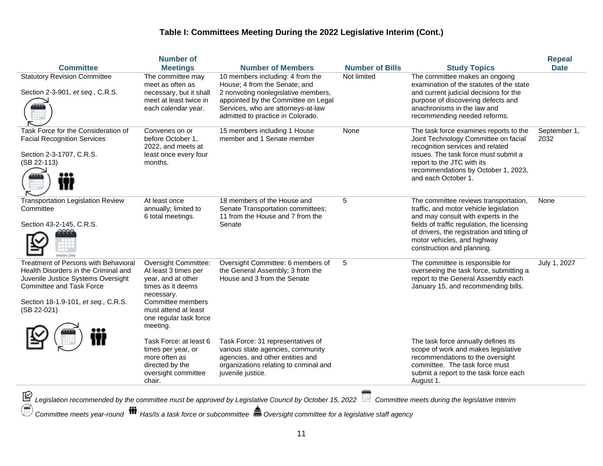| <b>Committee</b>                                                                                                                                                                                                   | <b>Number of</b><br><b>Meetings</b>                                                                                                                                                      | <b>Number of Members</b>                                                                                                                                                                                                   | <b>Number of Bills</b> | <b>Study Topics</b>                                                                                                                                                                                                                                                               | <b>Repeal</b><br><b>Date</b> |
|--------------------------------------------------------------------------------------------------------------------------------------------------------------------------------------------------------------------|------------------------------------------------------------------------------------------------------------------------------------------------------------------------------------------|----------------------------------------------------------------------------------------------------------------------------------------------------------------------------------------------------------------------------|------------------------|-----------------------------------------------------------------------------------------------------------------------------------------------------------------------------------------------------------------------------------------------------------------------------------|------------------------------|
| <b>Statutory Revision Committee</b><br>Section 2-3-901, et seq., C.R.S.                                                                                                                                            | The committee may<br>meet as often as<br>necessary, but it shall<br>meet at least twice in<br>each calendar year.                                                                        | 10 members including: 4 from the<br>House; 4 from the Senate; and<br>2 nonvoting nonlegislative members,<br>appointed by the Committee on Legal<br>Services, who are attorneys-at-law<br>admitted to practice in Colorado. | Not limited            | The committee makes an ongoing<br>examination of the statutes of the state<br>and current judicial decisions for the<br>purpose of discovering defects and<br>anachronisms in the law and<br>recommending needed reforms.                                                         |                              |
| Task Force for the Consideration of<br><b>Facial Recognition Services</b><br>Section 2-3-1707, C.R.S.<br>(SB 22-113)                                                                                               | Convenes on or<br>before October 1,<br>2022, and meets at<br>least once every four<br>months.                                                                                            | 15 members including 1 House<br>member and 1 Senate member                                                                                                                                                                 | None                   | The task force examines reports to the<br>Joint Technology Committee on facial<br>recognition services and related<br>issues. The task force must submit a<br>report to the JTC with its<br>recommendations by October 1, 2023,<br>and each October 1.                            | September 1,<br>2032         |
| <b>Transportation Legislation Review</b><br>Committee<br>Section 43-2-145, C.R.S.                                                                                                                                  | At least once<br>annually; limited to<br>6 total meetings.                                                                                                                               | 18 members of the House and<br>Senate Transportation committees;<br>11 from the House and 7 from the<br>Senate                                                                                                             | 5                      | The committee reviews transportation,<br>traffic, and motor vehicle legislation<br>and may consult with experts in the<br>fields of traffic regulation, the licensing<br>of drivers, the registration and titling of<br>motor vehicles, and highway<br>construction and planning. | None                         |
| <b>Treatment of Persons with Behavioral</b><br>Health Disorders in the Criminal and<br>Juvenile Justice Systems Oversight<br><b>Committee and Task Force</b><br>Section 18-1.9-101, et seq., C.R.S.<br>(SB 22-021) | Oversight Committee:<br>At least 3 times per<br>year, and at other<br>times as it deems<br>necessary.<br>Committee members<br>must attend at least<br>one regular task force<br>meeting. | Oversight Committee: 6 members of<br>the General Assembly; 3 from the<br>House and 3 from the Senate                                                                                                                       | 5                      | The committee is responsible for<br>overseeing the task force, submitting a<br>report to the General Assembly each<br>January 15, and recommending bills.                                                                                                                         | July 1, 2027                 |
|                                                                                                                                                                                                                    | Task Force: at least 6<br>times per year, or<br>more often as<br>directed by the<br>oversight committee<br>chair.                                                                        | Task Force: 31 representatives of<br>various state agencies, community<br>agencies, and other entities and<br>organizations relating to criminal and<br>juvenile justice.                                                  |                        | The task force annually defines its<br>scope of work and makes legislative<br>recommendations to the oversight<br>committee. The task force must<br>submit a report to the task force each<br>August 1.                                                                           |                              |
| $\sim$                                                                                                                                                                                                             |                                                                                                                                                                                          |                                                                                                                                                                                                                            |                        |                                                                                                                                                                                                                                                                                   |                              |

*Legislation recommended by the committee must be approved by Legislative Council by October 15, 2022 Committee meets during the legislative interim*